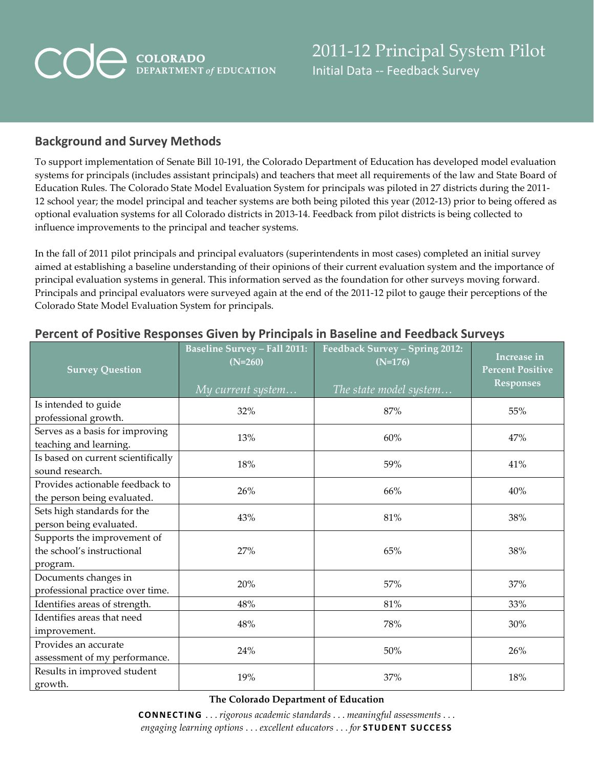# **COLORADO**<br>DEPARTMENT of EDUCATION COA

### **Background and Survey Methods**

To support implementation of Senate Bill 10-191, the Colorado Department of Education has developed model evaluation systems for principals (includes assistant principals) and teachers that meet all requirements of the law and State Board of Education Rules. The Colorado State Model Evaluation System for principals was piloted in 27 districts during the 2011- 12 school year; the model principal and teacher systems are both being piloted this year (2012-13) prior to being offered as optional evaluation systems for all Colorado districts in 2013-14. Feedback from pilot districts is being collected to influence improvements to the principal and teacher systems.

In the fall of 2011 pilot principals and principal evaluators (superintendents in most cases) completed an initial survey aimed at establishing a baseline understanding of their opinions of their current evaluation system and the importance of principal evaluation systems in general. This information served as the foundation for other surveys moving forward. Principals and principal evaluators were surveyed again at the end of the 2011-12 pilot to gauge their perceptions of the Colorado State Model Evaluation System for principals.

| <b>Survey Question</b>                                                | <b>Baseline Survey – Fall 2011:</b><br>$(N=260)$<br>My current system | Feedback Survey - Spring 2012:<br>$(N=176)$<br>The state model system | Increase in<br><b>Percent Positive</b><br><b>Responses</b> |
|-----------------------------------------------------------------------|-----------------------------------------------------------------------|-----------------------------------------------------------------------|------------------------------------------------------------|
| Is intended to guide<br>professional growth.                          | 32%                                                                   | 87%                                                                   | 55%                                                        |
| Serves as a basis for improving<br>teaching and learning.             | 13%                                                                   | 60%                                                                   | 47%                                                        |
| Is based on current scientifically<br>sound research.                 | 18%                                                                   | 59%                                                                   | 41%                                                        |
| Provides actionable feedback to<br>the person being evaluated.        | 26%                                                                   | 66%                                                                   | 40%                                                        |
| Sets high standards for the<br>person being evaluated.                | 43%                                                                   | 81%                                                                   | 38%                                                        |
| Supports the improvement of<br>the school's instructional<br>program. | 27%                                                                   | 65%                                                                   | 38%                                                        |
| Documents changes in<br>professional practice over time.              | 20%                                                                   | 57%                                                                   | 37%                                                        |
| Identifies areas of strength.                                         | 48%                                                                   | 81%                                                                   | 33%                                                        |
| Identifies areas that need<br>improvement.                            | 48%                                                                   | 78%                                                                   | 30%                                                        |
| Provides an accurate<br>assessment of my performance.                 | 24%                                                                   | 50%                                                                   | 26%                                                        |
| Results in improved student<br>growth.                                | 19%                                                                   | 37%                                                                   | 18%                                                        |

#### **Percent of Positive Responses Given by Principals in Baseline and Feedback Surveys**

**The Colorado Department of Education**

**CONNECTING** . . . *rigorous academic standards* . . . *meaningful assessments* . . . *engaging learning options* . . . *excellent educators* . . . *for* **STUDENT SUCCESS**